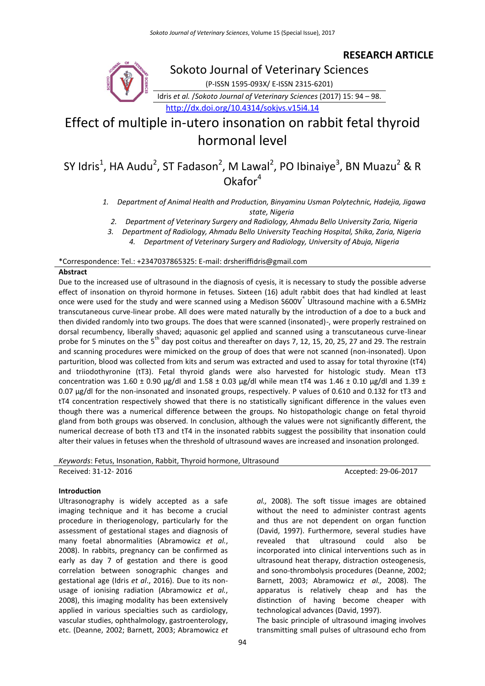### **RESEARCH ARTICLE**



Sokoto Journal of Veterinary Sciences

(P-ISSN 1595-093X/ E-ISSN 2315-6201)

Idris *et al.* /*Sokoto Journal of Veterinary Sciences* (2017) 15: 94 – 98.

<http://dx.doi.org/10.4314/sokjvs.v15i4.14>

# Effect of multiple in-utero insonation on rabbit fetal thyroid hormonal level

## SY Idris<sup>1</sup>, HA Audu<sup>2</sup>, ST Fadason<sup>2</sup>, M Lawal<sup>2</sup>, PO Ibinaiye<sup>3</sup>, BN Muazu<sup>2</sup> & R  $Okafor<sup>4</sup>$

- *1. Department of Animal Health and Production, Binyaminu Usman Polytechnic, Hadejia, Jigawa state, Nigeria*
	- *2. Department of Veterinary Surgery and Radiology, Ahmadu Bello University Zaria, Nigeria*

\*Correspondence: Tel.: +2347037865325: E-mail: drsheriffidris@gmail.com

#### **Abstract**

Due to the increased use of ultrasound in the diagnosis of cyesis, it is necessary to study the possible adverse effect of insonation on thyroid hormone in fetuses. Sixteen (16) adult rabbit does that had kindled at least once were used for the study and were scanned using a Medison S600V<sup>®</sup> Ultrasound machine with a 6.5MHz transcutaneous curve-linear probe. All does were mated naturally by the introduction of a doe to a buck and then divided randomly into two groups. The does that were scanned (insonated)-, were properly restrained on dorsal recumbency, liberally shaved; aquasonic gel applied and scanned using a transcutaneous curve-linear probe for 5 minutes on the  $5<sup>th</sup>$  day post coitus and thereafter on days 7, 12, 15, 20, 25, 27 and 29. The restrain and scanning procedures were mimicked on the group of does that were not scanned (non-insonated). Upon parturition, blood was collected from kits and serum was extracted and used to assay for total thyroxine (tT4) and triiodothyronine (tT3). Fetal thyroid glands were also harvested for histologic study. Mean tT3 concentration was 1.60  $\pm$  0.90 µg/dl and 1.58  $\pm$  0.03 µg/dl while mean tT4 was 1.46  $\pm$  0.10 µg/dl and 1.39  $\pm$ 0.07 µg/dl for the non-insonated and insonated groups, respectively. P values of 0.610 and 0.132 for tT3 and tT4 concentration respectively showed that there is no statistically significant difference in the values even though there was a numerical difference between the groups. No histopathologic change on fetal thyroid gland from both groups was observed. In conclusion, although the values were not significantly different, the numerical decrease of both tT3 and tT4 in the insonated rabbits suggest the possibility that insonation could alter their values in fetuses when the threshold of ultrasound waves are increased and insonation prolonged.

*Keywords*: Fetus, Insonation, Rabbit, Thyroid hormone, Ultrasound

Received: 31-12- 2016 **Accepted: 29-06-2017** Accepted: 29-06-2017

#### **Introduction**

Ultrasonography is widely accepted as a safe imaging technique and it has become a crucial procedure in theriogenology, particularly for the assessment of gestational stages and diagnosis of many foetal abnormalities (Abramowicz *et al.*, 2008). In rabbits, pregnancy can be confirmed as early as day 7 of gestation and there is good correlation between sonographic changes and gestational age (Idris *et al*., 2016). Due to its nonusage of ionising radiation (Abramowicz *et al.*, 2008), this imaging modality has been extensively applied in various specialties such as cardiology, vascular studies, ophthalmology, gastroenterology, etc. (Deanne, 2002; Barnett, 2003; Abramowicz *et* 

*al.,* 2008). The soft tissue images are obtained without the need to administer contrast agents and thus are not dependent on organ function (David, 1997). Furthermore, several studies have revealed that ultrasound could also be incorporated into clinical interventions such as in ultrasound heat therapy, distraction osteogenesis, and sono-thrombolysis procedures (Deanne, 2002; Barnett, 2003; Abramowicz *et al.,* 2008). The apparatus is relatively cheap and has the distinction of having become cheaper with technological advances (David, 1997). The basic principle of ultrasound imaging involves

transmitting small pulses of ultrasound echo from

*<sup>3.</sup> Department of Radiology, Ahmadu Bello University Teaching Hospital, Shika, Zaria, Nigeria 4. Department of Veterinary Surgery and Radiology, University of Abuja, Nigeria*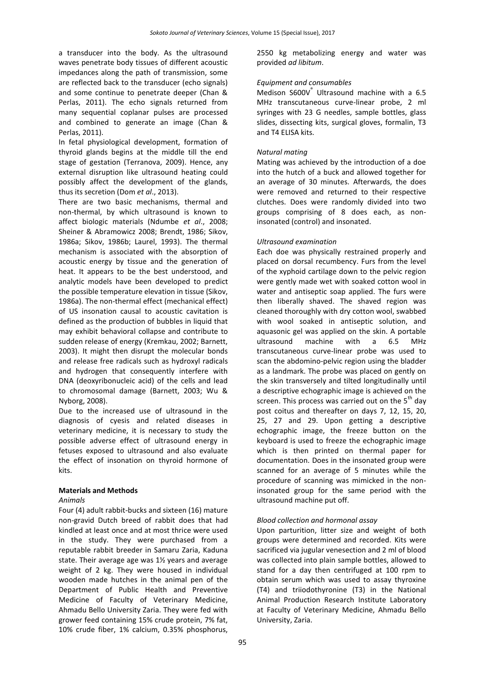a transducer into the body. As the ultrasound waves penetrate body tissues of different acoustic impedances along the path of transmission, some are reflected back to the transducer (echo signals) and some continue to penetrate deeper (Chan & Perlas, 2011). The echo signals returned from many sequential coplanar pulses are processed and combined to generate an image (Chan & Perlas, 2011).

In fetal physiological development, formation of thyroid glands begins at the middle till the end stage of gestation (Terranova, 2009). Hence, any external disruption like ultrasound heating could possibly affect the development of the glands, thus its secretion (Dom *et al*., 2013).

There are two basic mechanisms, thermal and non-thermal, by which ultrasound is known to affect biologic materials (Ndumbe *et al*., 2008; Sheiner & Abramowicz 2008; Brendt, 1986; Sikov, 1986a; Sikov, 1986b; Laurel, 1993). The thermal mechanism is associated with the absorption of acoustic energy by tissue and the generation of heat. It appears to be the best understood, and analytic models have been developed to predict the possible temperature elevation in tissue (Sikov, 1986a). The non-thermal effect (mechanical effect) of US insonation causal to acoustic cavitation is defined as the production of bubbles in liquid that may exhibit behavioral collapse and contribute to sudden release of energy (Kremkau, 2002; Barnett, 2003). It might then disrupt the molecular bonds and release free radicals such as hydroxyl radicals and hydrogen that consequently interfere with DNA (deoxyribonucleic acid) of the cells and lead to chromosomal damage (Barnett, 2003; Wu & Nyborg, 2008).

Due to the increased use of ultrasound in the diagnosis of cyesis and related diseases in veterinary medicine, it is necessary to study the possible adverse effect of ultrasound energy in fetuses exposed to ultrasound and also evaluate the effect of insonation on thyroid hormone of kits.

#### **Materials and Methods**

#### *Animals*

Four (4) adult rabbit-bucks and sixteen (16) mature non-gravid Dutch breed of rabbit does that had kindled at least once and at most thrice were used in the study. They were purchased from a reputable rabbit breeder in Samaru Zaria, Kaduna state. Their average age was 1½ years and average weight of 2 kg. They were housed in individual wooden made hutches in the animal pen of the Department of Public Health and Preventive Medicine of Faculty of Veterinary Medicine, Ahmadu Bello University Zaria. They were fed with grower feed containing 15% crude protein, 7% fat, 10% crude fiber, 1% calcium, 0.35% phosphorus,

2550 kg metabolizing energy and water was provided *ad libitum*.

#### *Equipment and consumables*

Medison S600V<sup>®</sup> Ultrasound machine with a 6.5 MHz transcutaneous curve-linear probe, 2 ml syringes with 23 G needles, sample bottles, glass slides, dissecting kits, surgical gloves, formalin, T3 and T4 ELISA kits.

#### *Natural mating*

Mating was achieved by the introduction of a doe into the hutch of a buck and allowed together for an average of 30 minutes. Afterwards, the does were removed and returned to their respective clutches. Does were randomly divided into two groups comprising of 8 does each, as noninsonated (control) and insonated.

#### *Ultrasound examination*

Each doe was physically restrained properly and placed on dorsal recumbency. Furs from the level of the xyphoid cartilage down to the pelvic region were gently made wet with soaked cotton wool in water and antiseptic soap applied. The furs were then liberally shaved. The shaved region was cleaned thoroughly with dry cotton wool, swabbed with wool soaked in antiseptic solution, and aquasonic gel was applied on the skin. A portable ultrasound machine with a 6.5 MHz transcutaneous curve-linear probe was used to scan the abdomino-pelvic region using the bladder as a landmark. The probe was placed on gently on the skin transversely and tilted longitudinally until a descriptive echographic image is achieved on the screen. This process was carried out on the  $5<sup>th</sup>$  day post coitus and thereafter on days 7, 12, 15, 20, 25, 27 and 29. Upon getting a descriptive echographic image, the freeze button on the keyboard is used to freeze the echographic image which is then printed on thermal paper for documentation. Does in the insonated group were scanned for an average of 5 minutes while the procedure of scanning was mimicked in the noninsonated group for the same period with the ultrasound machine put off.

#### *Blood collection and hormonal assay*

Upon parturition, litter size and weight of both groups were determined and recorded. Kits were sacrificed via jugular venesection and 2 ml of blood was collected into plain sample bottles, allowed to stand for a day then centrifuged at 100 rpm to obtain serum which was used to assay thyroxine (T4) and triiodothyronine (T3) in the National Animal Production Research Institute Laboratory at Faculty of Veterinary Medicine, Ahmadu Bello University, Zaria.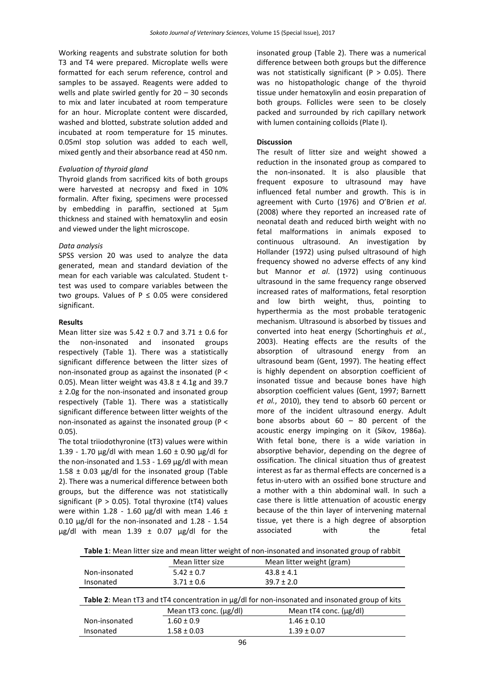Working reagents and substrate solution for both T3 and T4 were prepared. Microplate wells were formatted for each serum reference, control and samples to be assayed. Reagents were added to wells and plate swirled gently for 20 – 30 seconds to mix and later incubated at room temperature for an hour. Microplate content were discarded, washed and blotted, substrate solution added and incubated at room temperature for 15 minutes. 0.05ml stop solution was added to each well, mixed gently and their absorbance read at 450 nm.

#### *Evaluation of thyroid gland*

Thyroid glands from sacrificed kits of both groups were harvested at necropsy and fixed in 10% formalin. After fixing, specimens were processed by embedding in paraffin, sectioned at 5µm thickness and stained with hematoxylin and eosin and viewed under the light microscope.

#### *Data analysis*

SPSS version 20 was used to analyze the data generated, mean and standard deviation of the mean for each variable was calculated. Student ttest was used to compare variables between the two groups. Values of  $P \le 0.05$  were considered significant.

#### **Results**

Mean litter size was  $5.42 + 0.7$  and  $3.71 + 0.6$  for the non-insonated and insonated groups respectively (Table 1). There was a statistically significant difference between the litter sizes of non-insonated group as against the insonated (P < 0.05). Mean litter weight was  $43.8 \pm 4.1$ g and 39.7 ± 2.0g for the non-insonated and insonated group respectively (Table 1). There was a statistically significant difference between litter weights of the non-insonated as against the insonated group (P < 0.05).

The total triiodothyronine (tT3) values were within 1.39 - 1.70  $\mu$ g/dl with mean 1.60 ± 0.90  $\mu$ g/dl for the non-insonated and  $1.53 - 1.69$   $\mu$ g/dl with mean 1.58  $\pm$  0.03 µg/dl for the insonated group (Table 2). There was a numerical difference between both groups, but the difference was not statistically significant (P  $>$  0.05). Total thyroxine (tT4) values were within 1.28 - 1.60  $\mu$ g/dl with mean 1.46 ± 0.10 µg/dl for the non-insonated and 1.28 - 1.54  $\mu$ g/dl with mean 1.39  $\pm$  0.07  $\mu$ g/dl for the

insonated group (Table 2). There was a numerical difference between both groups but the difference was not statistically significant ( $P > 0.05$ ). There was no histopathologic change of the thyroid tissue under hematoxylin and eosin preparation of both groups. Follicles were seen to be closely packed and surrounded by rich capillary network with lumen containing colloids (Plate I).

#### **Discussion**

The result of litter size and weight showed a reduction in the insonated group as compared to the non-insonated. It is also plausible that frequent exposure to ultrasound may have influenced fetal number and growth. This is in agreement with Curto (1976) and O'Brien *et al*. (2008) where they reported an increased rate of neonatal death and reduced birth weight with no fetal malformations in animals exposed to continuous ultrasound. An investigation by Hollander (1972) using pulsed ultrasound of high frequency showed no adverse effects of any kind but Mannor *et al*. (1972) using continuous ultrasound in the same frequency range observed increased rates of malformations, fetal resorption and low birth weight, thus, pointing to hyperthermia as the most probable teratogenic mechanism. Ultrasound is absorbed by tissues and converted into heat energy (Schortinghuis *et al.*, 2003). Heating effects are the results of the absorption of ultrasound energy from an ultrasound beam (Gent, 1997). The heating effect is highly dependent on absorption coefficient of insonated tissue and because bones have high absorption coefficient values (Gent, 1997; Barnett *et al.*, 2010), they tend to absorb 60 percent or more of the incident ultrasound energy. Adult bone absorbs about 60 – 80 percent of the acoustic energy impinging on it (Sikov, 1986a). With fetal bone, there is a wide variation in absorptive behavior, depending on the degree of ossification. The clinical situation thus of greatest interest as far as thermal effects are concerned is a fetus in-utero with an ossified bone structure and a mother with a thin abdominal wall. In such a case there is little attenuation of acoustic energy because of the thin layer of intervening maternal tissue, yet there is a high degree of absorption associated with the fetal

**Table 1**: Mean litter size and mean litter weight of non-insonated and insonated group of rabbit

|                                                                                                            | Mean litter size       | Mean litter weight (gram) |
|------------------------------------------------------------------------------------------------------------|------------------------|---------------------------|
| Non-insonated                                                                                              | $5.42 \pm 0.7$         | $43.8 \pm 4.1$            |
| Insonated                                                                                                  | $3.71 \pm 0.6$         | $39.7 \pm 2.0$            |
| <b>Table 2:</b> Mean tT3 and tT4 concentration in $\mu$ g/dl for non-insonated and insonated group of kits |                        |                           |
|                                                                                                            | Mean tT3 conc. (ug/dl) | Mean tT4 conc. (ug/dl)    |
| Non-insonated                                                                                              | $1.60 \pm 0.9$         | $1.46 \pm 0.10$           |
| Insonated                                                                                                  | $1.58 \pm 0.03$        | $1.39 \pm 0.07$           |
|                                                                                                            |                        |                           |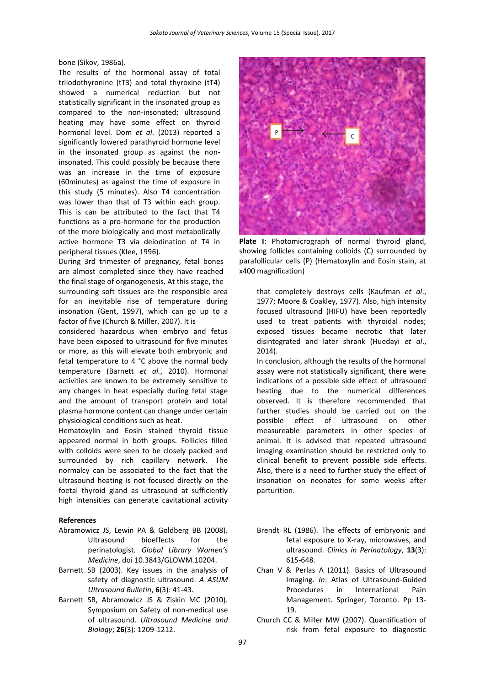bone (Sikov, 1986a).

The results of the hormonal assay of total triiodothyronine (tT3) and total thyroxine (tT4) showed a numerical reduction but not statistically significant in the insonated group as compared to the non-insonated; ultrasound heating may have some effect on thyroid hormonal level. Dom *et al*. (2013) reported a significantly lowered parathyroid hormone level in the insonated group as against the noninsonated. This could possibly be because there was an increase in the time of exposure (60minutes) as against the time of exposure in this study (5 minutes). Also T4 concentration was lower than that of T3 within each group. This is can be attributed to the fact that T4 functions as a pro-hormone for the production of the more biologically and most metabolically active hormone T3 via deiodination of T4 in peripheral tissues (Klee, 1996).

During 3rd trimester of pregnancy, fetal bones are almost completed since they have reached the final stage of organogenesis. At this stage, the surrounding soft tissues are the responsible area for an inevitable rise of temperature during insonation (Gent, 1997), which can go up to a factor of five (Church & Miller, 2007). It is

considered hazardous when embryo and fetus have been exposed to ultrasound for five minutes or more, as this will elevate both embryonic and fetal temperature to 4 °C above the normal body temperature (Barnett *et al.*, 2010). Hormonal activities are known to be extremely sensitive to any changes in heat especially during fetal stage and the amount of transport protein and total plasma hormone content can change under certain physiological conditions such as heat.

Hematoxylin and Eosin stained thyroid tissue appeared normal in both groups. Follicles filled with colloids were seen to be closely packed and surrounded by rich capillary network. The normalcy can be associated to the fact that the ultrasound heating is not focused directly on the foetal thyroid gland as ultrasound at sufficiently high intensities can generate cavitational activity

#### **References**

- Abramowicz JS, Lewin PA & Goldberg BB (2008). Ultrasound bioeffects for the perinatologist*. Global Library Women's Medicine*, doi 10.3843/GLOWM.10204.
- Barnett SB (2003). Key issues in the analysis of safety of diagnostic ultrasound. *A ASUM Ultrasound Bulletin*, **6**(3): 41-43.
- Barnett SB, Abramowicz JS & Ziskin MC (2010). Symposium on Safety of non-medical use of ultrasound. *Ultrasound Medicine and Biology*; **26**(3): 1209-1212.



**Plate I**: Photomicrograph of normal thyroid gland, showing follicles containing colloids (C) surrounded by parafollicular cells (P) (Hematoxylin and Eosin stain, at x400 magnification)

that completely destroys cells (Kaufman *et al*., 1977; Moore & Coakley, 1977). Also, high intensity focused ultrasound (HIFU) have been reportedly used to treat patients with thyroidal nodes; exposed tissues became necrotic that later disintegrated and later shrank (Huedayi *et al*., 2014).

In conclusion, although the results of the hormonal assay were not statistically significant, there were indications of a possible side effect of ultrasound heating due to the numerical differences observed. It is therefore recommended that further studies should be carried out on the possible effect of ultrasound on other measureable parameters in other species of animal. It is advised that repeated ultrasound imaging examination should be restricted only to clinical benefit to prevent possible side effects. Also, there is a need to further study the effect of insonation on neonates for some weeks after parturition.

- Brendt RL (1986). The effects of embryonic and fetal exposure to X-ray, microwaves, and ultrasound. *Clinics in Perinatology*, **13**(3): 615-648.
- Chan V & Perlas A (2011). Basics of Ultrasound Imaging. *In*: Atlas of Ultrasound-Guided Procedures in International Pain Management. Springer, Toronto. Pp 13- 19.
- Church CC & Miller MW (2007). Quantification of risk from fetal exposure to diagnostic